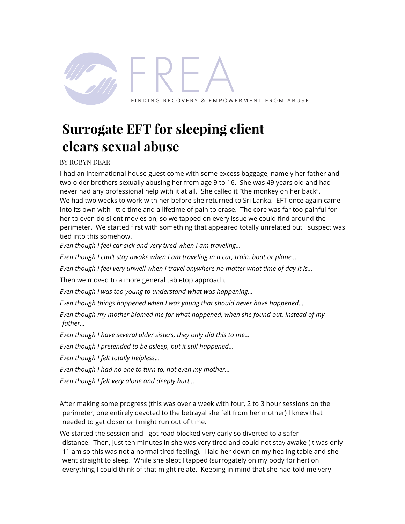

## **Surrogate EFT for sleeping client clears sexual abuse**

BY ROBYN DEAR

I had an international house guest come with some excess baggage, namely her father and two older brothers sexually abusing her from age 9 to 16. She was 49 years old and had never had any professional help with it at all. She called it "the monkey on her back". We had two weeks to work with her before she returned to Sri Lanka. EFT once again came into its own with little time and a lifetime of pain to erase. The core was far too painful for her to even do silent movies on, so we tapped on every issue we could find around the perimeter. We started first with something that appeared totally unrelated but I suspect was tied into this somehow.

*Even though I feel car sick and very tired when I am traveling…*

*Even though I can't stay awake when I am traveling in a car, train, boat or plane…*

*Even though I feel very unwell when I travel anywhere no matter what time of day it is…*

Then we moved to a more general tabletop approach.

*Even though I was too young to understand what was happening…*

*Even though things happened when I was young that should never have happened…*

*Even though my mother blamed me for what happened, when she found out, instead of my father…*

*Even though I have several older sisters, they only did this to me…*

*Even though I pretended to be asleep, but it still happened…*

*Even though I felt totally helpless…*

*Even though I had no one to turn to, not even my mother…*

*Even though I felt very alone and deeply hurt…*

After making some progress (this was over a week with four, 2 to 3 hour sessions on the perimeter, one entirely devoted to the betrayal she felt from her mother) I knew that I needed to get closer or I might run out of time.

We started the session and I got road blocked very early so diverted to a safer distance. Then, just ten minutes in she was very tired and could not stay awake (it was only 11 am so this was not a normal tired feeling). I laid her down on my healing table and she went straight to sleep. While she slept I tapped (surrogately on my body for her) on everything I could think of that might relate. Keeping in mind that she had told me very